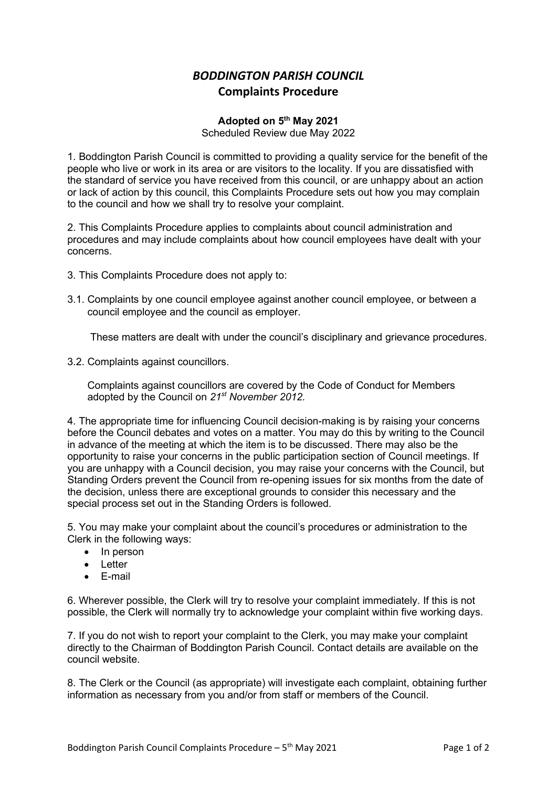## BODDINGTON PARISH COUNCIL Complaints Procedure

## Adopted on 5th May 2021

Scheduled Review due May 2022

1. Boddington Parish Council is committed to providing a quality service for the benefit of the people who live or work in its area or are visitors to the locality. If you are dissatisfied with the standard of service you have received from this council, or are unhappy about an action or lack of action by this council, this Complaints Procedure sets out how you may complain to the council and how we shall try to resolve your complaint.

2. This Complaints Procedure applies to complaints about council administration and procedures and may include complaints about how council employees have dealt with your concerns.

- 3. This Complaints Procedure does not apply to:
- 3.1. Complaints by one council employee against another council employee, or between a council employee and the council as employer.

These matters are dealt with under the council's disciplinary and grievance procedures.

3.2. Complaints against councillors.

 Complaints against councillors are covered by the Code of Conduct for Members adopted by the Council on 21<sup>st</sup> November 2012.

4. The appropriate time for influencing Council decision-making is by raising your concerns before the Council debates and votes on a matter. You may do this by writing to the Council in advance of the meeting at which the item is to be discussed. There may also be the opportunity to raise your concerns in the public participation section of Council meetings. If you are unhappy with a Council decision, you may raise your concerns with the Council, but Standing Orders prevent the Council from re-opening issues for six months from the date of the decision, unless there are exceptional grounds to consider this necessary and the special process set out in the Standing Orders is followed.

5. You may make your complaint about the council's procedures or administration to the Clerk in the following ways:

- In person
- Letter
- E-mail

6. Wherever possible, the Clerk will try to resolve your complaint immediately. If this is not possible, the Clerk will normally try to acknowledge your complaint within five working days.

7. If you do not wish to report your complaint to the Clerk, you may make your complaint directly to the Chairman of Boddington Parish Council. Contact details are available on the council website.

8. The Clerk or the Council (as appropriate) will investigate each complaint, obtaining further information as necessary from you and/or from staff or members of the Council.